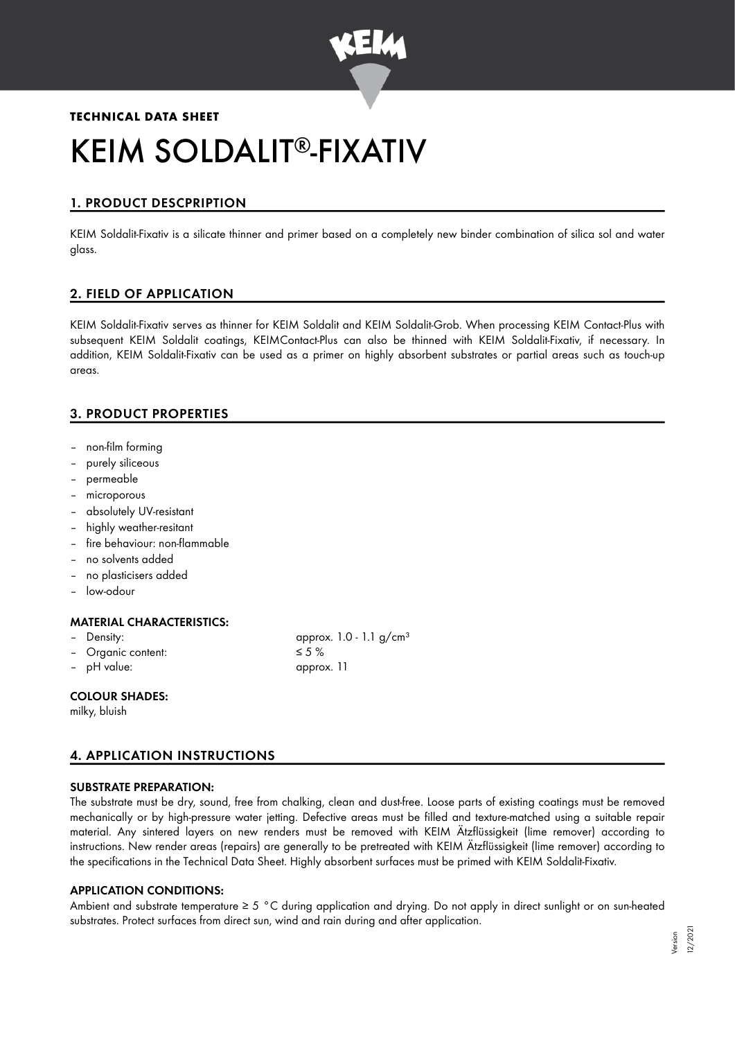

# **TECHNICAL DATA SHEET** KEIM SOLDALIT®-FIXATIV

# 1. PRODUCT DESCPRIPTION

KEIM Soldalit-Fixativ is a silicate thinner and primer based on a completely new binder combination of silica sol and water glass.

# 2. FIELD OF APPLICATION

KEIM Soldalit-Fixativ serves as thinner for KEIM Soldalit and KEIM Soldalit-Grob. When processing KEIM Contact-Plus with subsequent KEIM Soldalit coatings, KEIMContact-Plus can also be thinned with KEIM Soldalit-Fixativ, if necessary. In addition, KEIM Soldalit-Fixativ can be used as a primer on highly absorbent substrates or partial areas such as touch-up areas.

# 3. PRODUCT PROPERTIES

- non-film forming
- purely siliceous
- permeable
- microporous
- absolutely UV-resistant
- highly weather-resitant
- fire behaviour: non-flammable
- no solvents added
- no plasticisers added
- low-odour

# MATERIAL CHARACTERISTICS:

– Density: approx. 1.0 - 1.1 g/cm<sup>3</sup> Organic content:  $≤ 5 %$ 

– pH value: approx. 11

#### COLOUR SHADES:

milky, bluish

# 4. APPLICATION INSTRUCTIONS

#### SUBSTRATE PREPARATION:

The substrate must be dry, sound, free from chalking, clean and dust-free. Loose parts of existing coatings must be removed mechanically or by high-pressure water jetting. Defective areas must be filled and texture-matched using a suitable repair material. Any sintered layers on new renders must be removed with KEIM Ätzflüssigkeit (lime remover) according to instructions. New render areas (repairs) are generally to be pretreated with KEIM Ätzflüssigkeit (lime remover) according to the specifications in the Technical Data Sheet. Highly absorbent surfaces must be primed with KEIM Soldalit-Fixativ.

# APPLICATION CONDITIONS:

Ambient and substrate temperature  $\geq 5$  °C during application and drying. Do not apply in direct sunlight or on sun-heated substrates. Protect surfaces from direct sun, wind and rain during and after application.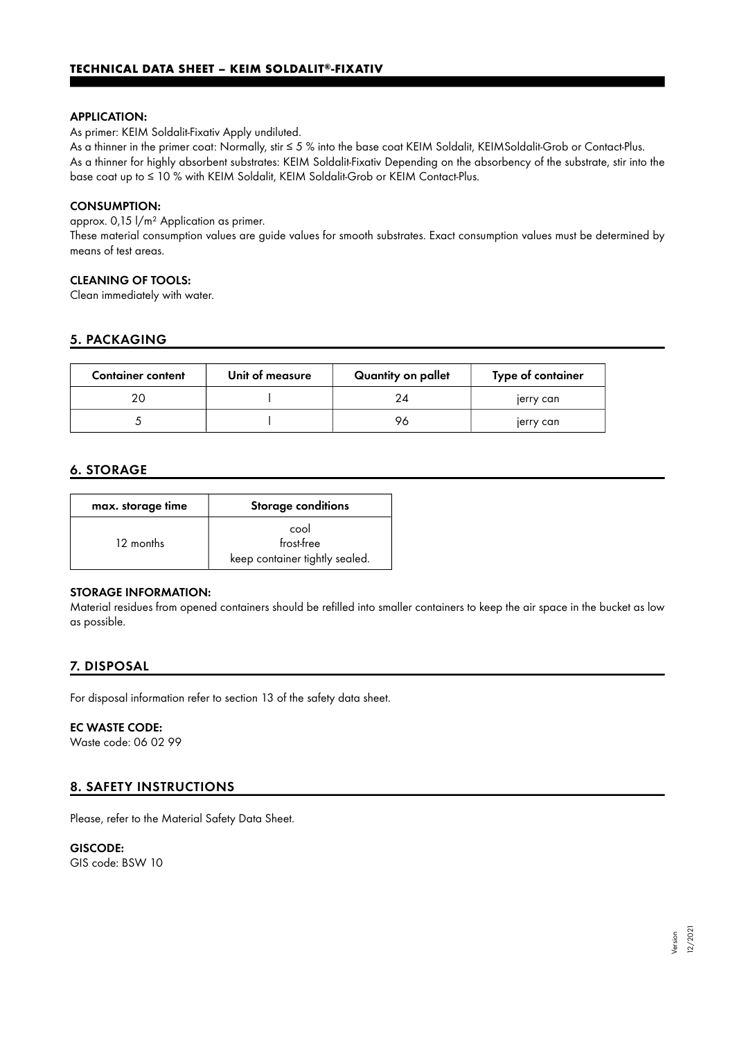#### APPLICATION:

As primer: KEIM Soldalit-Fixativ Apply undiluted.

As a thinner in the primer coat: Normally, stir ≤ 5 % into the base coat KEIM Soldalit, KEIMSoldalit-Grob or Contact-Plus. As a thinner for highly absorbent substrates: KEIM Soldalit-Fixativ Depending on the absorbency of the substrate, stir into the base coat up to ≤ 10 % with KEIM Soldalit, KEIM Soldalit-Grob or KEIM Contact-Plus.

#### CONSUMPTION:

approx. 0,15 l/m² Application as primer.

These material consumption values are guide values for smooth substrates. Exact consumption values must be determined by means of test areas.

#### CLEANING OF TOOLS:

Clean immediately with water.

# 5. PACKAGING

| <b>Container content</b> | Unit of measure | Quantity on pallet | Type of container |
|--------------------------|-----------------|--------------------|-------------------|
|                          |                 |                    | jerry can         |
|                          |                 | 70                 | jerry can         |

# 6. STORAGE

| max. storage time | <b>Storage conditions</b>                            |  |
|-------------------|------------------------------------------------------|--|
| 12 months         | cool<br>frost-free<br>keep container tightly sealed. |  |

#### STORAGE INFORMATION:

Material residues from opened containers should be refilled into smaller containers to keep the air space in the bucket as low as possible.

# 7. DISPOSAL

For disposal information refer to section 13 of the safety data sheet.

#### EC WASTE CODE:

Waste code: 06 02 99

# 8. SAFETY INSTRUCTIONS

Please, refer to the Material Safety Data Sheet.

GISCODE: GIS code: BSW 10